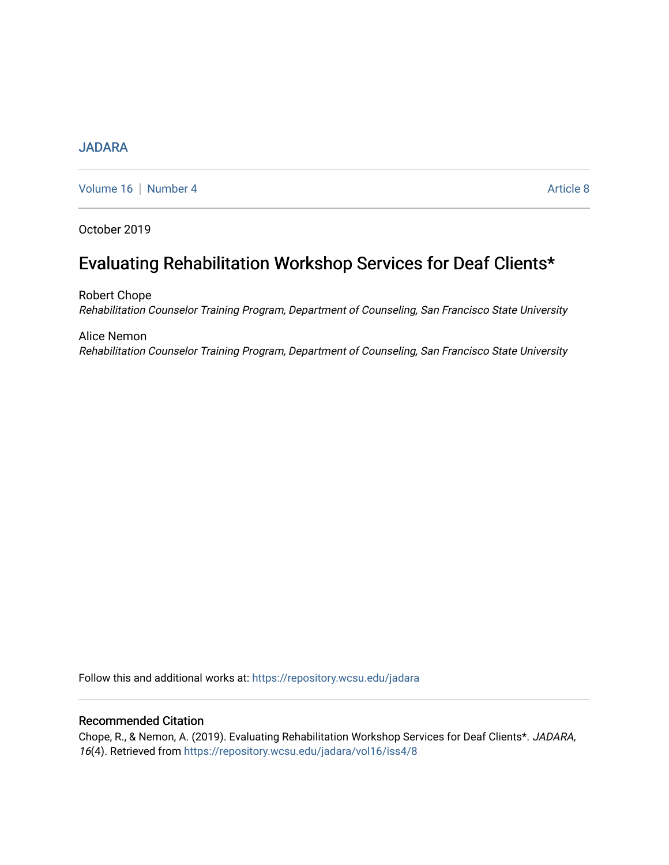# [JADARA](https://repository.wcsu.edu/jadara)

[Volume 16](https://repository.wcsu.edu/jadara/vol16) | [Number 4](https://repository.wcsu.edu/jadara/vol16/iss4) Article 8

October 2019

# Evaluating Rehabilitation Workshop Services for Deaf Clients\*

Robert Chope Rehabilitation Counselor Training Program, Department of Counseling, San Francisco State University

Alice Nemon Rehabilitation Counselor Training Program, Department of Counseling, San Francisco State University

Follow this and additional works at: [https://repository.wcsu.edu/jadara](https://repository.wcsu.edu/jadara?utm_source=repository.wcsu.edu%2Fjadara%2Fvol16%2Fiss4%2F8&utm_medium=PDF&utm_campaign=PDFCoverPages)

## Recommended Citation

Chope, R., & Nemon, A. (2019). Evaluating Rehabilitation Workshop Services for Deaf Clients\*. JADARA, 16(4). Retrieved from [https://repository.wcsu.edu/jadara/vol16/iss4/8](https://repository.wcsu.edu/jadara/vol16/iss4/8?utm_source=repository.wcsu.edu%2Fjadara%2Fvol16%2Fiss4%2F8&utm_medium=PDF&utm_campaign=PDFCoverPages)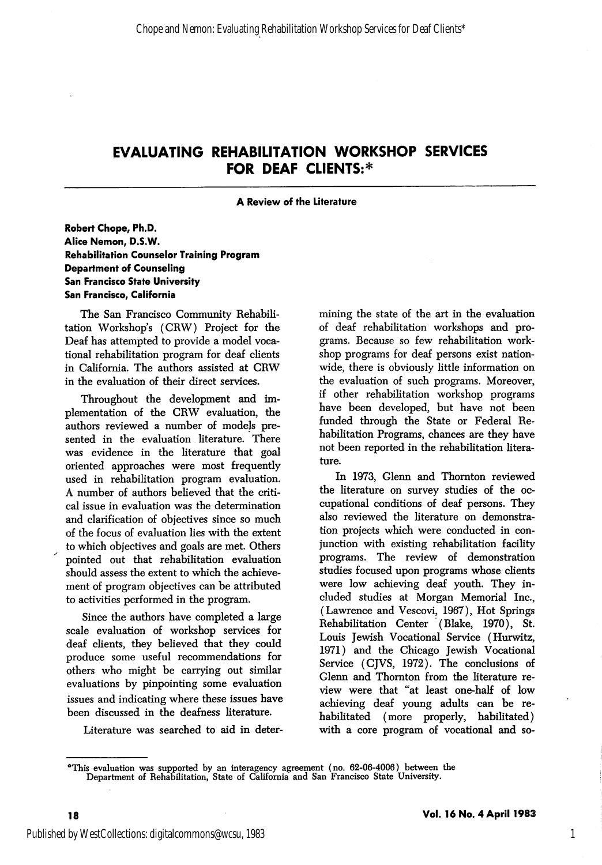#### A Review of the Literature

#### Robert Chope, Ph.D. Alice Nemon, D.S.W. Rehabilitation Counselor Training Program Department of Counseling San Francisco State University San Francisco, California

The San Francisco Community Rehabili tation Workshop's (CRW) Project for the Deaf has attempted to provide a model voca tional rehabilitation program for deaf clients in California. The authors assisted at CRW in the evaluation of their direct services.

Throughout the development and im plementation of the CRW evaluation, the authors reviewed a number of models pre sented in the evaluation literature. There was evidence in the literature that goal oriented approaches were most frequently used in rehabilitation program evaluation. A number of authors believed that the criti cal issue in evaluation was the determination and clarification of objectives since so much of the focus of evaluation lies with the extent to which objectives and goals are met. Others pointed out that rehabilitation evaluation should assess the extent to which the achieve ment of program objectives can be attributed to activities performed in the program.

Since the authors have completed a large scale evaluation of workshop services for deaf clients, they believed that they could produce some useful recommendations for others who might be carrying out similar evaluations by pinpointing some evaluation issues and indicating where these issues have been discussed in the deafness literature.

Literature was searched to aid in deter

mining the state of the art in the evaluation of deaf rehabilitation workshops and pro grams. Because so few rehabilitation work shop programs for deaf persons exist nation wide, there is obviously little information on the evaluation of such programs. Moreover, if other rehabilitation workshop programs have been developed, but have not been funded through the State or Federal Re habilitation Programs, chances are they have not been reported in the rehabilitation litera ture.

In 1973, Glenn and Thornton reviewed the literature on survey studies of the oc cupational conditions of deaf persons. They also reviewed the literature on demonstra tion projects which were conducted in con junction with existing rehabilitation facility programs. The review of demonstration studies focused upon programs whose clients were low achieving deaf youth. They in cluded studies at Morgan Memorial Inc., (Lawrence and Vescovi, 1967), Hot Springs Rehabilitation Center (Blake, 1970), St. Louis Jewish Vocational Service (Hurwitz, 1971) and the Chicago Jewish Vocational Service (CJVS, 1972). The conclusions of Clenn and Thornton from the literature re view were that "at least one-half of low achieving deaf young adults can be re habilitated (more properly, habilitated) with a core program of vocational and so-

1

<sup>\*</sup>This evaluation was supported by an interagency agreement (no. 62-06-4006) between the Department of Rehabilitation, State of California and San Francisco State University.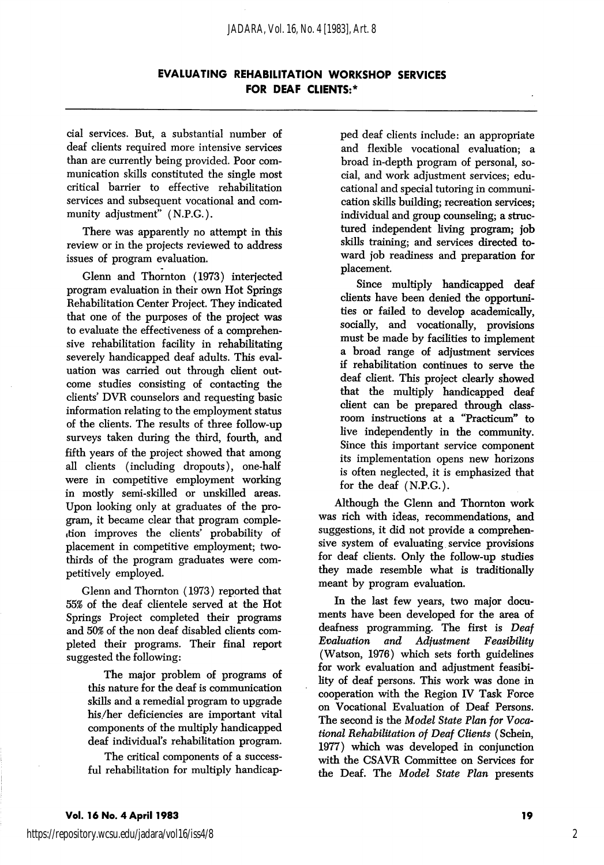cial services. But, a substantial number of deaf clients required more intensive services than are currently being provided. Poor com munication skills constituted the single most critical barrier to effective rehabilitation services and subsequent vocational and com munity adjustment" (N.P.G.).

There was apparently no attempt in this review or in the projects reviewed to address issues of program evaluation.

Glenn and Thornton (1973) interjected program evaluation in their own Hot Springs Rehabilitation Center Project. They indicated that one of the purposes of the project was to evaluate the effectiveness of a comprehen sive rehabilitation facility in rehabilitating severely handicapped deaf adults. This eval uation was carried out through client out come studies consisting of contacting the clients' DVR counselors and requesting basic information relating to the employment status of the clients. The results of three follow-up surveys taken during the third, fourth, and fifth years of the project showed that among all clients (including dropouts), one-half were in competitive employment working in mostly semi-skilled or unskilled areas. Upon looking only at graduates of the pro gram, it became clear that program compleition improves the clients' probability of placement in competitive employment; twothirds of the program graduates were com petitively employed.

Glenn and Thornton (1973) reported that 55% of the deaf clientele served at the Hot Springs Project completed their programs and 50% of the non deaf disabled clients com pleted their programs. Their final report suggested the following:

The major problem of programs of this nature for the deaf is communication skills and a remedial program to upgrade his/her deficiencies are important vital components of the multiply handicapped deaf individual's rehabilitation program.

The critical components of a success ful rehabilitation for multiply handicap ped deaf clients include: an appropriate and flexible vocational evaluation; a broad in-depth program of personal, so cial, and work adjustment services; edu cational and special tutoring in communi cation skills building; recreation services; individual and group counseling; a structured independent living program; job skills training; and services directed to ward job readiness and preparation for placement.

Since multiply handicapped deaf clients have been denied the opportuni ties or failed to develop academically, socially, and vocationally, provisions must be made by facilities to implement a broad range of adjustment services if rehabilitation continues to serve the deaf client. This project clearly showed that the multiply handicapped deaf client can be prepared through class room instructions at a "Practicum'' to live independently in the community. Since this important service component its implementation opens new horizons is often neglected, it is emphasized that for the deaf (N.P.G.).

Although the Glenn and Thornton work was rich with ideas, recommendations, and suggestions, it did not provide a comprehen sive system of evaluating service provisions for deaf clients. Only the follow-up studies they made resemble what is traditionally meant by program evaluation.

In the last few years, two major docu ments have been developed for the area of deafness programming. The first is Deaf Evaluation and Adjustment Feasibility (Watson, 1976) which sets forth guidelines for work evaluation and adjustment feasibi lity of deaf persons. This work was done in cooperation with the Region IV Task Force on Vocational Evaluation of Deaf Persons. The second is the Model State Plan for Voca tional Rehabilitation of Deaf Clients (Schein, 1977) which was developed in conjunction with the CSAVR Committee on Services for the Deaf. The Model State Plan presents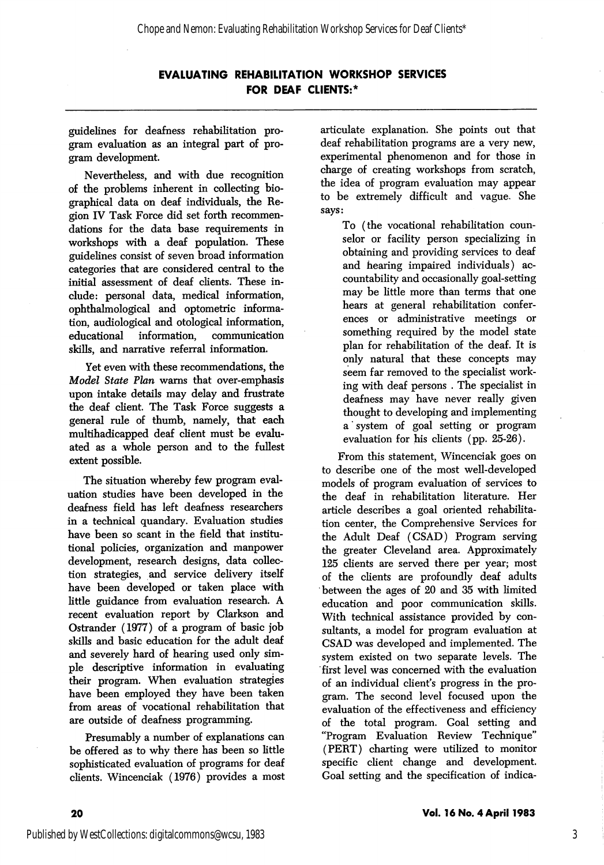guidelines for deafness rehabilitation pro gram evaluation as an integral part of pro gram development.

Nevertheless, and with due recognition of the problems inherent in collecting bio graphical data on deaf individuals, the Re gion IV Task Force did set forth recommen dations for the data base requirements in workshops with a deaf population. These guidehnes consist of seven broad information categories that are considered central to the initial assessment of deaf clients. These in clude: personal data, medical information, ophthalmological and optometric informa tion, audiological and otological information, educational information, communication skills, and narrative referral information.

Yet even with these recommendations, the Model State Plan warns that over-emphasis upon intake details may delay and frustrate the deaf client. The Task Force suggests a general rule of thumb, namely, that each multihadicapped deaf client must be evalu ated as a whole person and to the fullest extent possible.

The situation whereby few program eval uation studies have been developed in the deafness field has left deafness researchers in a technical quandary. Evaluation studies have been so scant in the field that institu tional pohcies, organization and manpower development, research designs, data collec tion strategies, and service delivery itself have been developed or taken place with little guidance from evaluation research. A recent evaluation report by Clarkson and Ostrander (1977) of a program of basic job skills and basic education for the adult deaf and severely hard of hearing used only sim ple descriptive information in evaluating their program. When evaluation strategies have been employed they have been taken from areas of vocational rehabilitation that are outside of deafness programming.

Presumably a number of explanations can be offered as to why there has been so little sophisticated evaluation of programs for deaf clients. Wincenciak (1976) provides a most articulate explanation. She points out that deaf rehabilitation programs are a very new, experimental phenomenon and for those in charge of creating workshops from scratch, the idea of program evaluation may appear to be extremely difficult and vague. She says:

To (the vocational rehabilitation coun selor or facility person specializing in obtaining and providing services to deaf and hearing impaired individuals) ac countability and occasionally goal-setting may be little more than terms that one hears at general rehabilitation confer ences or administrative meetings or something required by the model state plan for rehabilitation of the deaf. It is only natural that these concepts may seem far removed to the specialist work ing with deaf persons . The specialist in deafness may have never really given thought to developing and implementing a' system of goal setting or program evaluation for his clients (pp. 25-26).

From this statement, Wincenciak goes on to describe one of the most well-developed models of program evaluation of services to the deaf in rehabilitation literature. Her article describes a goal oriented rehabihtation center, the Comprehensive Services for the Adult Deaf (CSAD) Program serving the greater Cleveland area. Approximately 125 clients are served there per year; most of the clients are profoundly deaf adults between the ages of 20 and 35 with limited education and poor communication skills. With technical assistance provided by con sultants, a model for program evaluation at CSAD was developed and implemented. The system existed on two separate levels. The first level was concerned with the evaluation of an individual client's progress in the pro gram. The second level focused upon the evaluation of the effectiveness and efficiency of the total program. Goal setting and "Program Evaluation Review Technique" (PERT) charting were utilized to monitor specific client change and development. Goal setting and the specification of indica-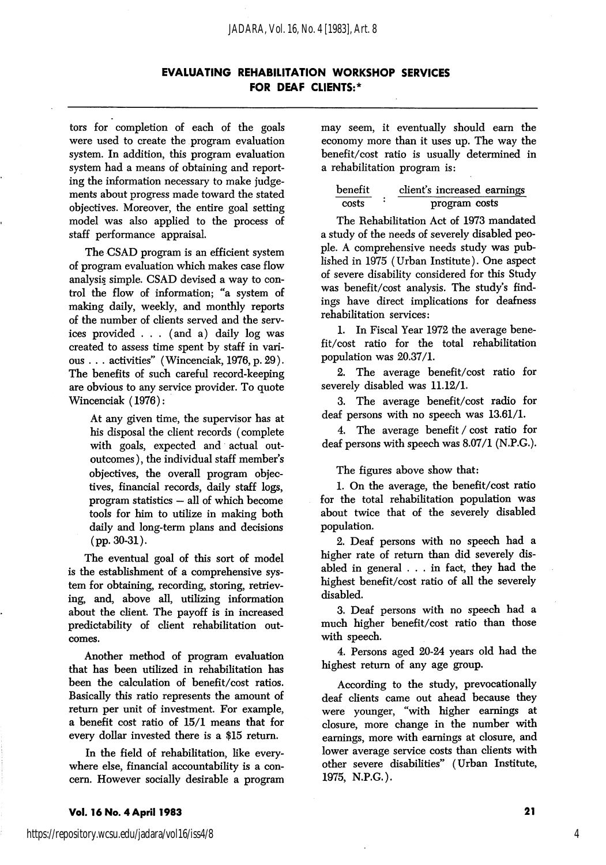tors for completion of each of the goals were used to create the program evaluation system. In addition, this program evaluation system had a means of obtaining and report ing the information necessary to make judge ments about progress made toward the stated objectives. Moreover, the entire goal setting model was also applied to the process of staff performance appraisal.

The CSAD program is an efficient system of program evaluation which makes case flow analysis simple. CSAD devised a way to con trol the flow of information; "a system of making daily, weekly, and monthly reports of the number of clients served and the serv ices provided . . . (and a) daily log was created to assess time spent by staff in vari ous . . . activities'' (Wincenciak, 1976, p. 29). The benefits of such careful record-keeping are obvious to any service provider. To quote Wincenciak (1976):

At any given time, the supervisor has at his disposal the client records (complete with goals, expected and actual outoutcomes ), the individual staff member's objectives, the overall program objec tives, financial records, daily staff logs, program statistics — all of which become tools for him to utilize in making both daily and long-term plans and decisions (pp. 30-31).

The eventual goal of this sort of model is the establishment of a comprehensive sys tem for obtaining, recording, storing, retriev ing, and, above all, utilizing information about the client. The payoff is in increased predictability of client rehabilitation out comes.

Another method of program evaluation that has been utilized in rehabilitation has been the calculation of benefit/cost ratios. Basically this ratio represents the amount of return per unit of investment. For example, a benefit cost ratio of 15/1 means that for every dollar invested there is a \$15 return.

In the field of rehabilitation, like every where else, financial accountability is a con cern. However socially desirable a program may seem, it eventually should earn the economy more than it uses up. The way the benefit/cost ratio is usually determined in a rehabilitation program is:

| benefit | client's increased earnings |
|---------|-----------------------------|
| costs   | program costs               |

The Rehabilitation Act of 1973 mandated a study of the needs of severely disabled peo ple. A comprehensive needs study was pub lished in 1975 (Urban Institute). One aspect of severe disability considered for this Study was benefit/cost analysis. The study's find ings have direct implications for deafness rehabilitation services:

1. In Fiscal Year 1972 the average bene fit/cost ratio for the total rehabilitation population was 20.37/1.

2. The average benefit/cost ratio for severely disabled was 11.12/1.

3. The average benefit/cost radio for deaf persons with no speech was 13.61/1.

4. The average benefit / cost ratio for deaf persons with speech was 8.07/1 (N.P.G.).

The figures above show that:

1. On the average, the benefit/cost ratio for the total rehabilitation population was about twice that of the severely disabled population.

2. Deaf persons with no speech had a higher rate of return than did severely dis abled in general . .. in fact, they had the highest benefit/cost ratio of all the severely disabled.

3. Deaf persons with no speech had a much higher benefit/cost ratio than those with speech.

4. Persons aged 20-24 years old had the highest return of any age group.

According to the study, prevocationally deaf clients came out ahead because they were younger, "with higher earnings at closure, more change in the number with earnings, more with earnings at closure, and lower average service costs than clients with other severe disabilities" (Urban Institute, 1975, N.P.G.).

#### Vol. 16 No. 4 April 1983 <sup>21</sup>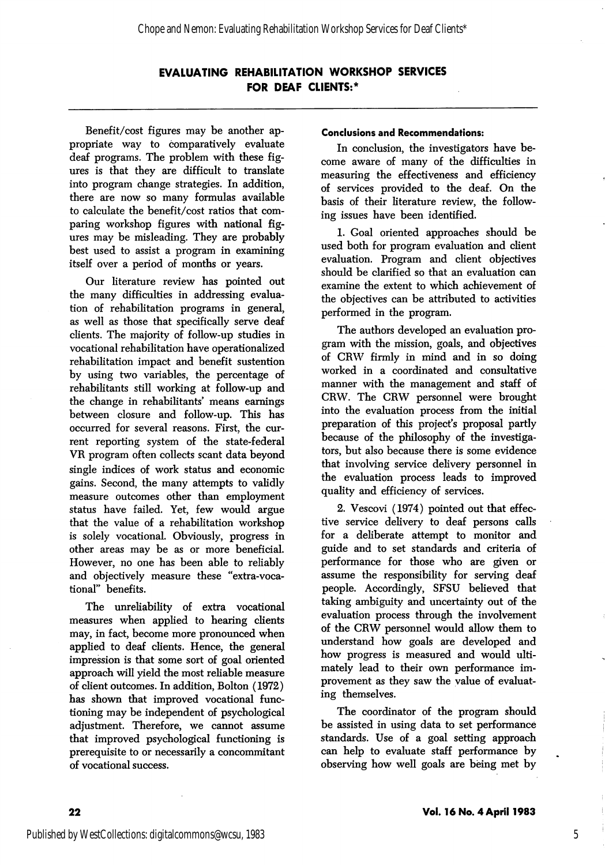Benefit/cost figures may be another ap propriate way to comparatively evaluate deaf programs. The problem with these fig ures is that they are difficult to translate into program change strategies. In addition, there are now so many formulas available to calculate the benefit/cost ratios that com paring workshop figures with national fig ures may be misleading. They are probably best used to assist a program in examining itself over a period of months or years.

Our literature review has pointed out the many difficulties in addressing evalua tion of rehabilitation programs in general, as well as those that specifically serve deaf clients. The majority of follow-up studies in vocational rehabilitation have operationalized rehabilitation impact and benefit sustention by using two variables, the percentage of rehabilitants still working at follow-up and the change in rehabilitants' means earnings between closure and follow-up. This has occurred for several reasons. First, the cur rent reporting system of the state-federal VR program often collects scant data beyond single indices of work status and economic gains. Second, the many attempts to validly measure outcomes other than employment status have failed. Yet, few would argue that the value of a rehabilitation workshop is solely vocational. Obviously, progress in other areas may be as or more beneficial. However, no one has been able to reliably and objectively measure these "extra-voca tional" benefits.

The unreliability of extra vocational measures when applied to hearing clients may, in fact, become more pronounced when applied to deaf clients. Hence, the general impression is that some sort of goal oriented approach will yield the most reliable measure of client outcomes. In addition, Bolton (1972) has shown that improved vocational func tioning may be independent of psychological adjustment. Therefore, we cannot assume that improved psychological functioning is prerequisite to or necessarily a concommitant of vocational success.

#### Conclusions and Recommendations:

In conclusion, the investigators have be come aware of many of the difficulties in measuring the effectiveness and efficiency of services provided to the deaf. On the basis of their literature review, the follow ing issues have been identified.

1. Goal oriented approaches should be used both for program evaluation and client evaluation. Program and client objectives should be clarified so that an evaluation can examine the extent to which achievement of the objectives can be attributed to activities performed in the program.

The authors developed an evaluation pro gram with the mission, goals, and objectives of CRW firmly in mind and in so doing worked in a coordinated and consultative manner with the management and staff of CRW. The CRW personnel were brought into the evaluation process from the initial preparation of this project's proposal partly because of the philosophy of the investiga tors, but also because there is some evidence that involving service delivery personnel in the evaluation process leads to improved quality and efficiency of services.

2. Vescovi (1974) pointed out that effec tive service delivery to deaf persons calls for a deliberate attempt to monitor and guide and to set standards and criteria of performance for those who are given or assume the responsibility for serving deaf people. Accordingly, SFSU believed that taking ambiguity and uncertainty out of the evaluation process through the involvement of the CRW personnel would allow them to understand how goals are developed and how progress is measured and would ulti mately lead to their own performance im provement as they saw the value of evaluat ing themselves.

The coordinator of the program should be assisted in using data to set performance standards. Use of a goal setting approach can help to evaluate staff performance by observing how well goals are being met by